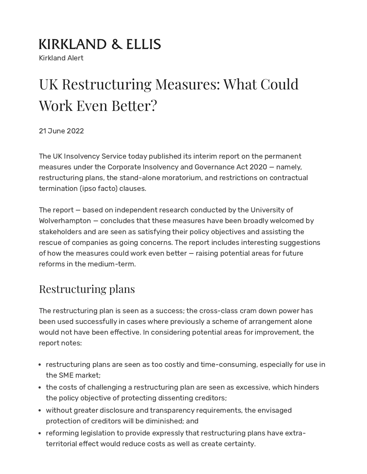# **KIRKLAND & ELLIS**

Kirkland Alert

# UK Restructuring Measures: What Could Work Even Better?

21 June 2022

The UK Insolvency Service today published its interim report on the permanent measures under the Corporate Insolvency and Governance Act 2020 — namely, restructuring plans, the stand-alone moratorium, and restrictions on contractual termination (ipso facto) clauses.

The report — based on independent research conducted by the University of Wolverhampton — concludes that these measures have been broadly welcomed by stakeholders and are seen as satisfying their policy objectives and assisting the rescue of companies as going concerns. The report includes interesting suggestions of how the measures could work even better — raising potential areas for future reforms in the medium-term.

# Restructuring plans

The restructuring plan is seen as a success; the cross-class cram down power has been used successfully in cases where previously a scheme of arrangement alone would not have been effective. In considering potential areas for improvement, the report notes:

- restructuring plans are seen as too costly and time-consuming, especially for use in the SME market;
- the costs of challenging a restructuring plan are seen as excessive, which hinders the policy objective of protecting dissenting creditors;
- without greater disclosure and transparency requirements, the envisaged protection of creditors will be diminished; and
- reforming legislation to provide expressly that restructuring plans have extraterritorial effect would reduce costs as well as create certainty.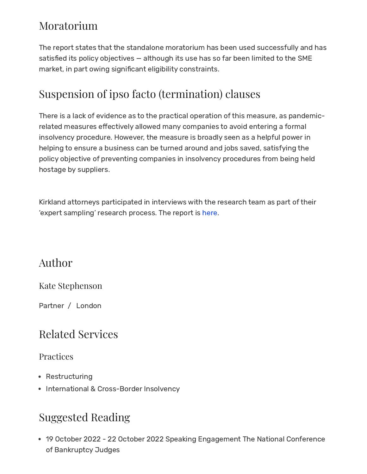# Moratorium

The report states that the standalone moratorium has been used successfully and has satisfied its policy objectives — although its use has so far been limited to the SME market, in part owing significant eligibility constraints.

# Suspension of ipso facto (termination) clauses

There is a lack of evidence as to the practical operation of this measure, as pandemicrelated measures effectively allowed many companies to avoid entering a formal insolvency procedure. However, the measure is broadly seen as a helpful power in helping to ensure a business can be turned around and jobs saved, satisfying the policy objective of preventing companies in insolvency procedures from being held hostage by suppliers.

Kirkland attorneys participated in interviews with the research team as part of their 'expert sampling' research process. The report is [here](https://www.gov.uk/government/publications/corporate-insolvency-and-governance-act-2020-interim-report-march-2022/corporate-insolvency-and-governance-act-2020-interim-report-march-2022).

### Author

### Kate [Stephenson](https://www.kirkland.com/lawyers/s/stephenson-kate)

Partner / [London](https://www.kirkland.com/offices/london)

# Related Services

### Practices

- [Restructuring](https://www.kirkland.com/services/practices/restructuring)
- International & [Cross-Border](https://www.kirkland.com/services/practices/restructuring/international-and-crossborder-insolvency) Insolvency

# Suggested Reading

19 October 2022 - 22 October 2022 Speaking [Engagement](https://www.kirkland.com/events/speaking-engagement/2022/10/the-national-conference-of-bankruptcy-judges) The National Conference of Bankruptcy Judges